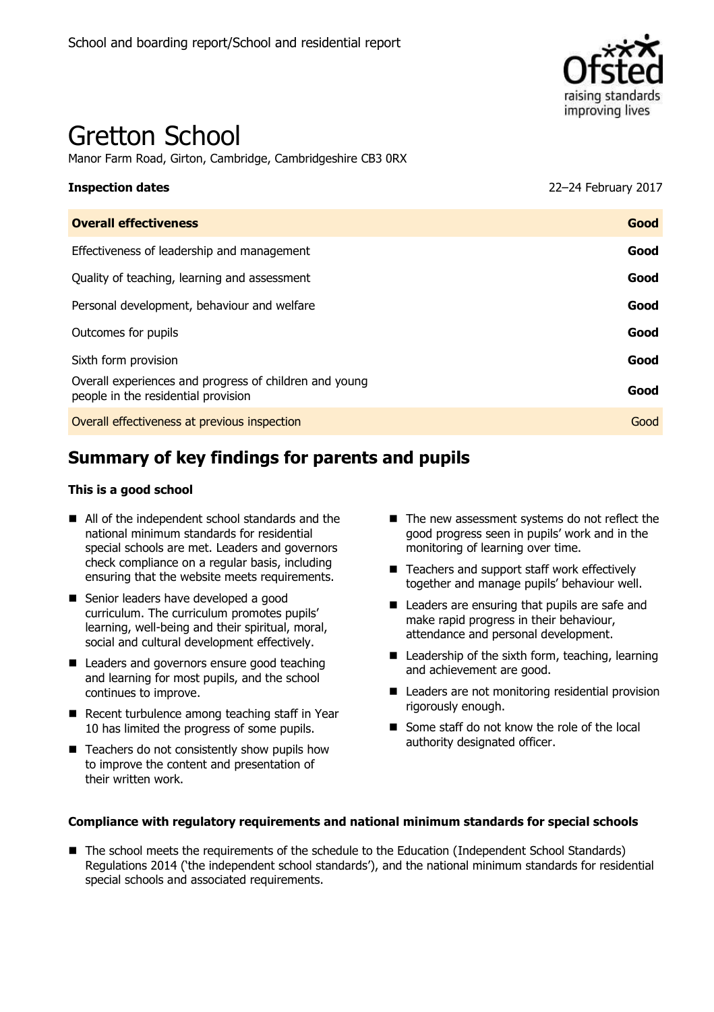

# Gretton School

Manor Farm Road, Girton, Cambridge, Cambridgeshire CB3 0RX

**Inspection dates** 22–24 February 2017

| <b>Overall effectiveness</b>                                                                  | Good |
|-----------------------------------------------------------------------------------------------|------|
| Effectiveness of leadership and management                                                    | Good |
| Quality of teaching, learning and assessment                                                  | Good |
| Personal development, behaviour and welfare                                                   | Good |
| Outcomes for pupils                                                                           | Good |
| Sixth form provision                                                                          | Good |
| Overall experiences and progress of children and young<br>people in the residential provision | Good |
| Overall effectiveness at previous inspection                                                  | Good |
|                                                                                               |      |

# **Summary of key findings for parents and pupils**

#### **This is a good school**

- All of the independent school standards and the national minimum standards for residential special schools are met. Leaders and governors check compliance on a regular basis, including ensuring that the website meets requirements.
- Senior leaders have developed a good curriculum. The curriculum promotes pupils' learning, well-being and their spiritual, moral, social and cultural development effectively.
- Leaders and governors ensure good teaching and learning for most pupils, and the school continues to improve.
- Recent turbulence among teaching staff in Year 10 has limited the progress of some pupils.
- $\blacksquare$  Teachers do not consistently show pupils how to improve the content and presentation of their written work.
- The new assessment systems do not reflect the good progress seen in pupils' work and in the monitoring of learning over time.
- Teachers and support staff work effectively together and manage pupils' behaviour well.
- Leaders are ensuring that pupils are safe and make rapid progress in their behaviour, attendance and personal development.
- Leadership of the sixth form, teaching, learning and achievement are good.
- Leaders are not monitoring residential provision rigorously enough.
- Some staff do not know the role of the local authority designated officer.

#### **Compliance with regulatory requirements and national minimum standards for special schools**

■ The school meets the requirements of the schedule to the Education (Independent School Standards) Regulations 2014 ('the independent school standards'), and the national minimum standards for residential special schools and associated requirements.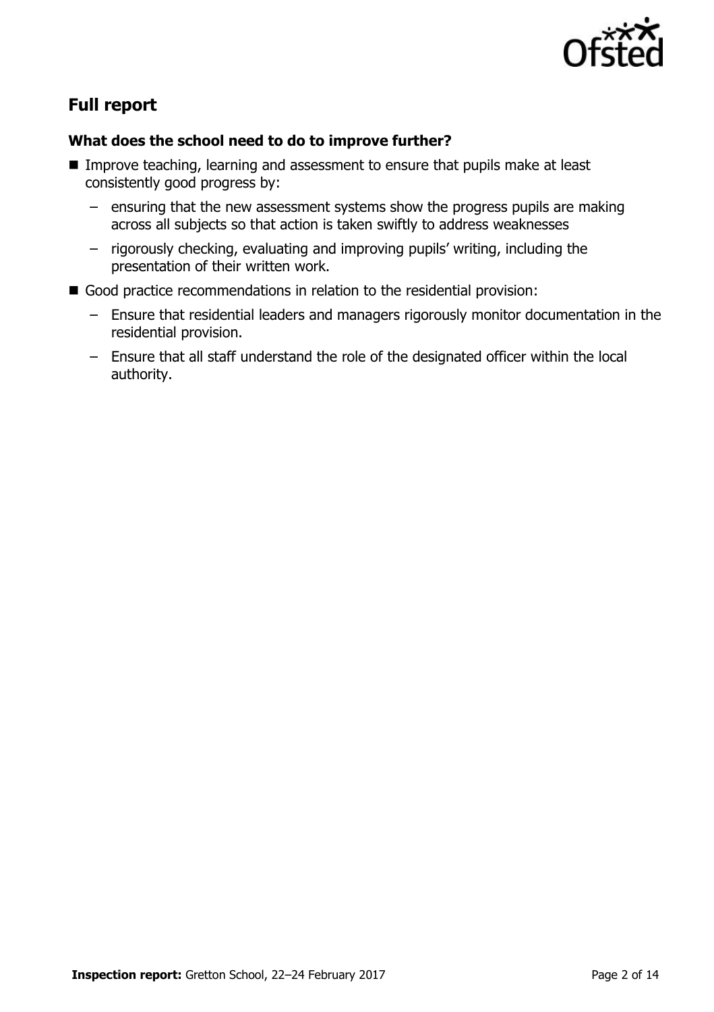

# **Full report**

#### **What does the school need to do to improve further?**

- Improve teaching, learning and assessment to ensure that pupils make at least consistently good progress by:
	- ensuring that the new assessment systems show the progress pupils are making across all subjects so that action is taken swiftly to address weaknesses
	- rigorously checking, evaluating and improving pupils' writing, including the presentation of their written work.
- Good practice recommendations in relation to the residential provision:
	- Ensure that residential leaders and managers rigorously monitor documentation in the residential provision.
	- Ensure that all staff understand the role of the designated officer within the local authority.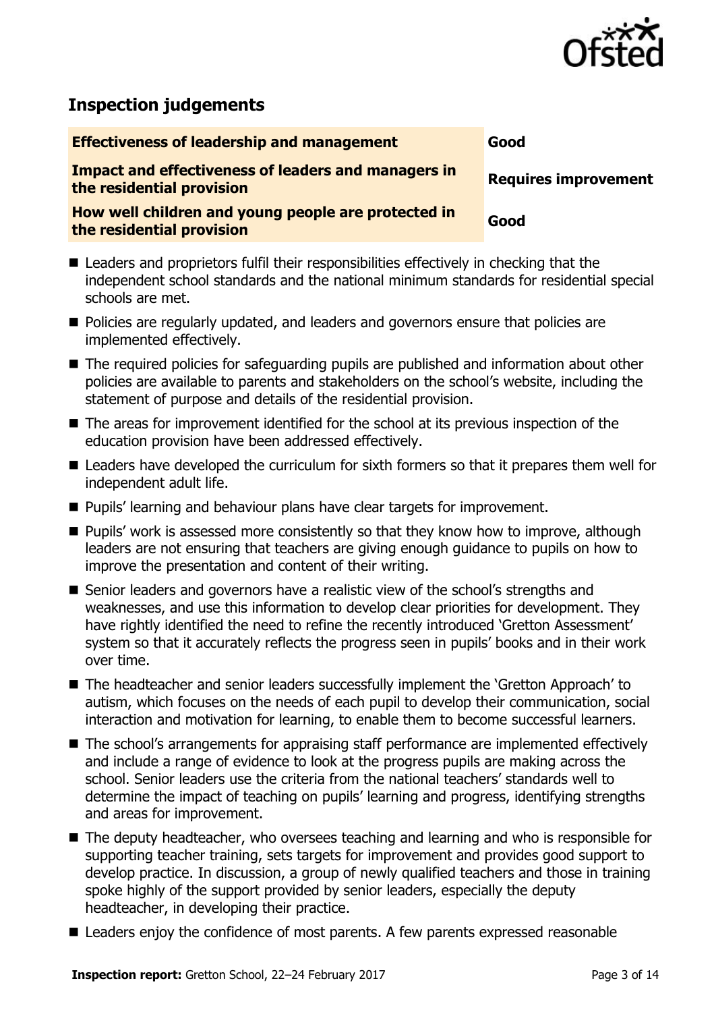

# **Inspection judgements**

**Effectiveness of leadership and management Good** 

**Impact and effectiveness of leaders and managers in the residential provision Requires improvement**

**How well children and young people are protected in the residential provision Good**

- Leaders and proprietors fulfil their responsibilities effectively in checking that the independent school standards and the national minimum standards for residential special schools are met.
- **Policies are regularly updated, and leaders and governors ensure that policies are** implemented effectively.
- The required policies for safeguarding pupils are published and information about other policies are available to parents and stakeholders on the school's website, including the statement of purpose and details of the residential provision.
- The areas for improvement identified for the school at its previous inspection of the education provision have been addressed effectively.
- Leaders have developed the curriculum for sixth formers so that it prepares them well for independent adult life.
- **Pupils' learning and behaviour plans have clear targets for improvement.**
- **Pupils'** work is assessed more consistently so that they know how to improve, although leaders are not ensuring that teachers are giving enough guidance to pupils on how to improve the presentation and content of their writing.
- Senior leaders and governors have a realistic view of the school's strengths and weaknesses, and use this information to develop clear priorities for development. They have rightly identified the need to refine the recently introduced 'Gretton Assessment' system so that it accurately reflects the progress seen in pupils' books and in their work over time.
- The headteacher and senior leaders successfully implement the 'Gretton Approach' to autism, which focuses on the needs of each pupil to develop their communication, social interaction and motivation for learning, to enable them to become successful learners.
- The school's arrangements for appraising staff performance are implemented effectively and include a range of evidence to look at the progress pupils are making across the school. Senior leaders use the criteria from the national teachers' standards well to determine the impact of teaching on pupils' learning and progress, identifying strengths and areas for improvement.
- The deputy headteacher, who oversees teaching and learning and who is responsible for supporting teacher training, sets targets for improvement and provides good support to develop practice. In discussion, a group of newly qualified teachers and those in training spoke highly of the support provided by senior leaders, especially the deputy headteacher, in developing their practice.
- Leaders enjoy the confidence of most parents. A few parents expressed reasonable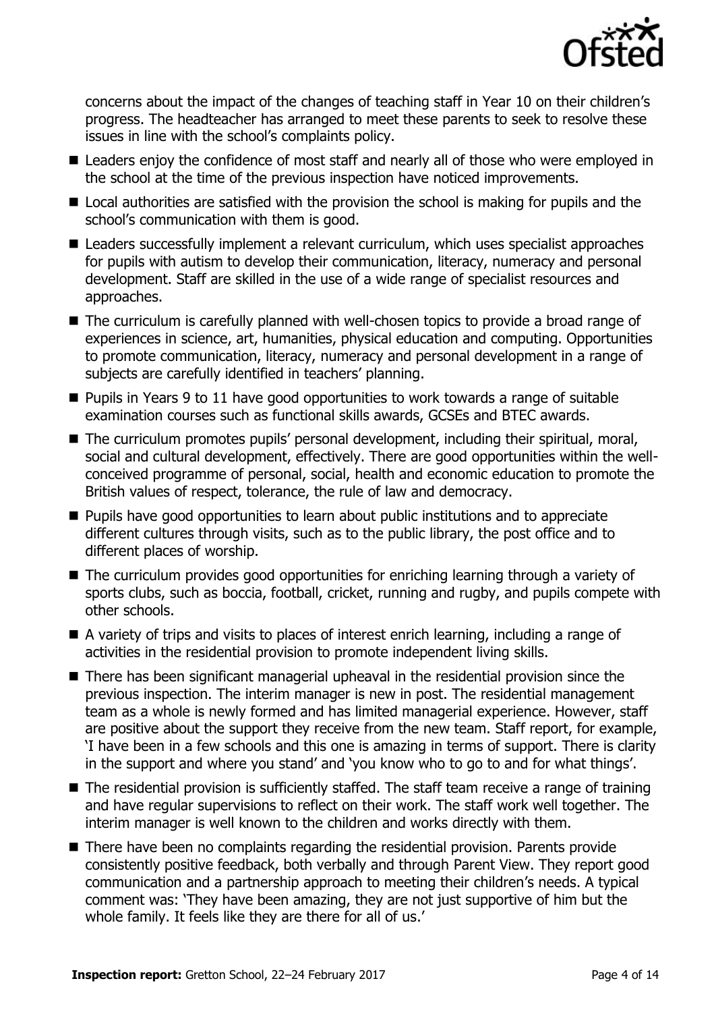

concerns about the impact of the changes of teaching staff in Year 10 on their children's progress. The headteacher has arranged to meet these parents to seek to resolve these issues in line with the school's complaints policy.

- Leaders enjoy the confidence of most staff and nearly all of those who were employed in the school at the time of the previous inspection have noticed improvements.
- Local authorities are satisfied with the provision the school is making for pupils and the school's communication with them is good.
- Leaders successfully implement a relevant curriculum, which uses specialist approaches for pupils with autism to develop their communication, literacy, numeracy and personal development. Staff are skilled in the use of a wide range of specialist resources and approaches.
- The curriculum is carefully planned with well-chosen topics to provide a broad range of experiences in science, art, humanities, physical education and computing. Opportunities to promote communication, literacy, numeracy and personal development in a range of subjects are carefully identified in teachers' planning.
- $\blacksquare$  Pupils in Years 9 to 11 have good opportunities to work towards a range of suitable examination courses such as functional skills awards, GCSEs and BTEC awards.
- The curriculum promotes pupils' personal development, including their spiritual, moral, social and cultural development, effectively. There are good opportunities within the wellconceived programme of personal, social, health and economic education to promote the British values of respect, tolerance, the rule of law and democracy.
- **Pupils have good opportunities to learn about public institutions and to appreciate** different cultures through visits, such as to the public library, the post office and to different places of worship.
- The curriculum provides good opportunities for enriching learning through a variety of sports clubs, such as boccia, football, cricket, running and rugby, and pupils compete with other schools.
- A variety of trips and visits to places of interest enrich learning, including a range of activities in the residential provision to promote independent living skills.
- There has been significant managerial upheaval in the residential provision since the previous inspection. The interim manager is new in post. The residential management team as a whole is newly formed and has limited managerial experience. However, staff are positive about the support they receive from the new team. Staff report, for example, 'I have been in a few schools and this one is amazing in terms of support. There is clarity in the support and where you stand' and 'you know who to go to and for what things'.
- The residential provision is sufficiently staffed. The staff team receive a range of training and have regular supervisions to reflect on their work. The staff work well together. The interim manager is well known to the children and works directly with them.
- There have been no complaints regarding the residential provision. Parents provide consistently positive feedback, both verbally and through Parent View. They report good communication and a partnership approach to meeting their children's needs. A typical comment was: 'They have been amazing, they are not just supportive of him but the whole family. It feels like they are there for all of us.'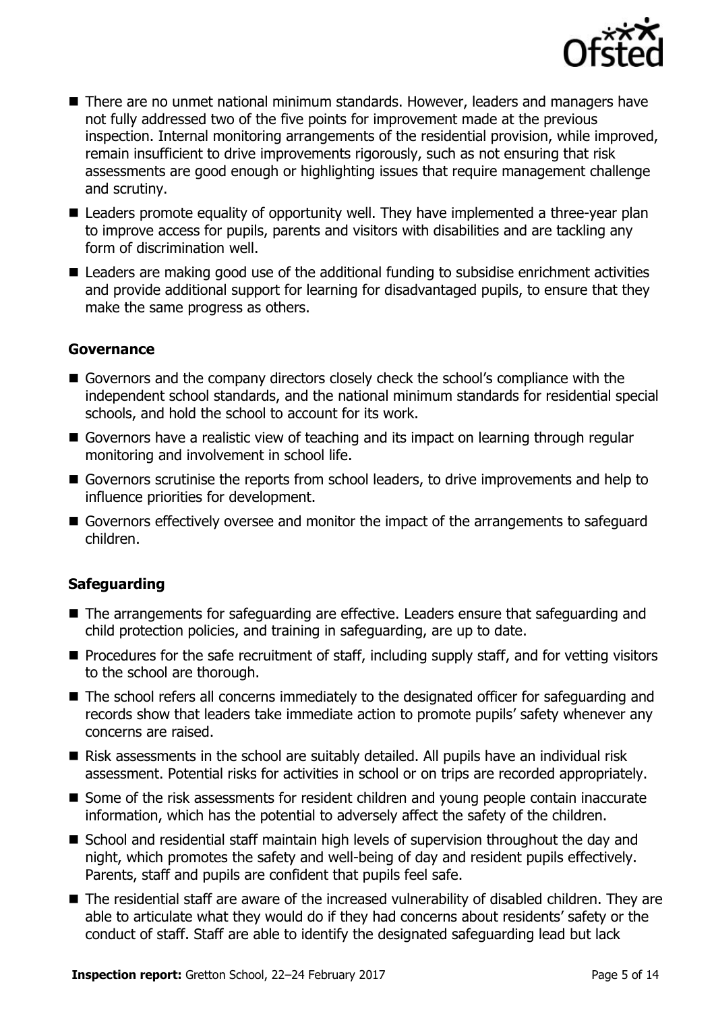

- There are no unmet national minimum standards. However, leaders and managers have not fully addressed two of the five points for improvement made at the previous inspection. Internal monitoring arrangements of the residential provision, while improved, remain insufficient to drive improvements rigorously, such as not ensuring that risk assessments are good enough or highlighting issues that require management challenge and scrutiny.
- Leaders promote equality of opportunity well. They have implemented a three-year plan to improve access for pupils, parents and visitors with disabilities and are tackling any form of discrimination well.
- Leaders are making good use of the additional funding to subsidise enrichment activities and provide additional support for learning for disadvantaged pupils, to ensure that they make the same progress as others.

#### **Governance**

- Governors and the company directors closely check the school's compliance with the independent school standards, and the national minimum standards for residential special schools, and hold the school to account for its work.
- Governors have a realistic view of teaching and its impact on learning through regular monitoring and involvement in school life.
- Governors scrutinise the reports from school leaders, to drive improvements and help to influence priorities for development.
- Governors effectively oversee and monitor the impact of the arrangements to safeguard children.

#### **Safeguarding**

- The arrangements for safeguarding are effective. Leaders ensure that safeguarding and child protection policies, and training in safeguarding, are up to date.
- $\blacksquare$  Procedures for the safe recruitment of staff, including supply staff, and for vetting visitors to the school are thorough.
- The school refers all concerns immediately to the designated officer for safeguarding and records show that leaders take immediate action to promote pupils' safety whenever any concerns are raised.
- Risk assessments in the school are suitably detailed. All pupils have an individual risk assessment. Potential risks for activities in school or on trips are recorded appropriately.
- Some of the risk assessments for resident children and young people contain inaccurate information, which has the potential to adversely affect the safety of the children.
- School and residential staff maintain high levels of supervision throughout the day and night, which promotes the safety and well-being of day and resident pupils effectively. Parents, staff and pupils are confident that pupils feel safe.
- The residential staff are aware of the increased vulnerability of disabled children. They are able to articulate what they would do if they had concerns about residents' safety or the conduct of staff. Staff are able to identify the designated safeguarding lead but lack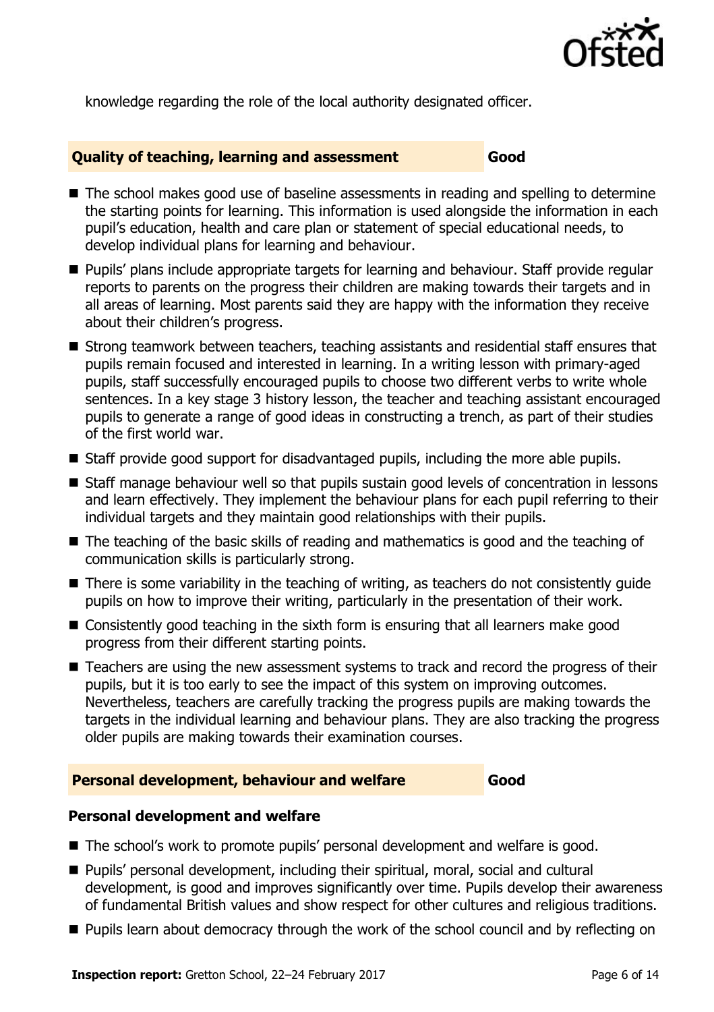

knowledge regarding the role of the local authority designated officer.

#### **Quality of teaching, learning and assessment Good**

- The school makes good use of baseline assessments in reading and spelling to determine the starting points for learning. This information is used alongside the information in each pupil's education, health and care plan or statement of special educational needs, to develop individual plans for learning and behaviour.
- **Pupils' plans include appropriate targets for learning and behaviour. Staff provide regular** reports to parents on the progress their children are making towards their targets and in all areas of learning. Most parents said they are happy with the information they receive about their children's progress.
- Strong teamwork between teachers, teaching assistants and residential staff ensures that pupils remain focused and interested in learning. In a writing lesson with primary-aged pupils, staff successfully encouraged pupils to choose two different verbs to write whole sentences. In a key stage 3 history lesson, the teacher and teaching assistant encouraged pupils to generate a range of good ideas in constructing a trench, as part of their studies of the first world war.
- Staff provide good support for disadvantaged pupils, including the more able pupils.
- Staff manage behaviour well so that pupils sustain good levels of concentration in lessons and learn effectively. They implement the behaviour plans for each pupil referring to their individual targets and they maintain good relationships with their pupils.
- The teaching of the basic skills of reading and mathematics is good and the teaching of communication skills is particularly strong.
- There is some variability in the teaching of writing, as teachers do not consistently quide pupils on how to improve their writing, particularly in the presentation of their work.
- Consistently good teaching in the sixth form is ensuring that all learners make good progress from their different starting points.
- Teachers are using the new assessment systems to track and record the progress of their pupils, but it is too early to see the impact of this system on improving outcomes. Nevertheless, teachers are carefully tracking the progress pupils are making towards the targets in the individual learning and behaviour plans. They are also tracking the progress older pupils are making towards their examination courses.

#### **Personal development, behaviour and welfare Good**

#### **Personal development and welfare**

- The school's work to promote pupils' personal development and welfare is good.
- Pupils' personal development, including their spiritual, moral, social and cultural development, is good and improves significantly over time. Pupils develop their awareness of fundamental British values and show respect for other cultures and religious traditions.
- **Pupils learn about democracy through the work of the school council and by reflecting on**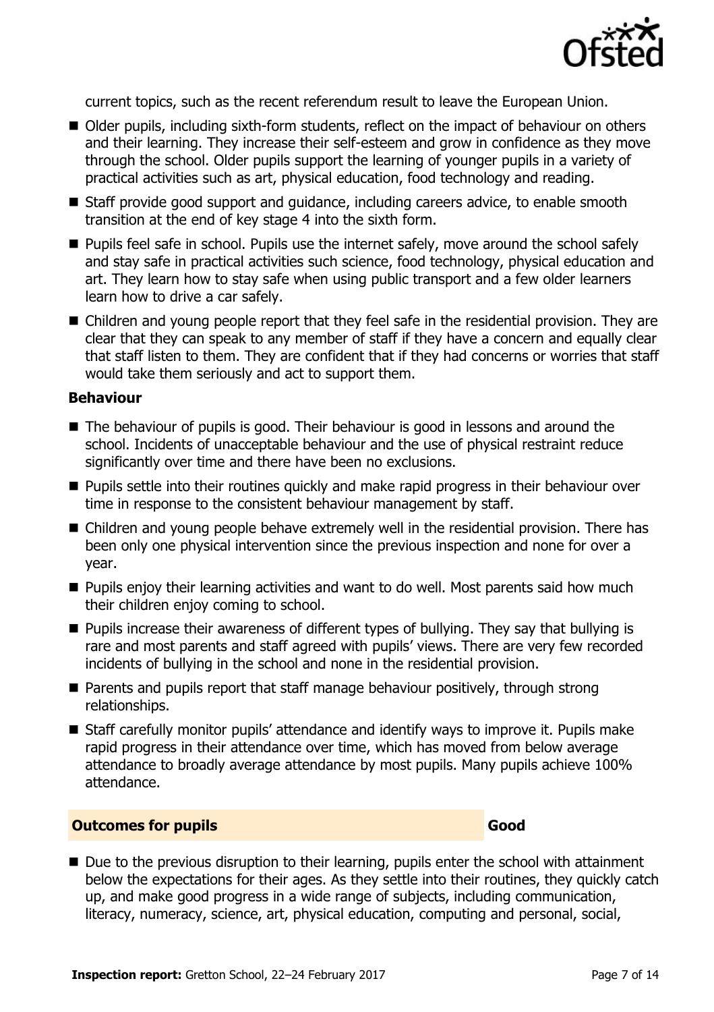

current topics, such as the recent referendum result to leave the European Union.

- Older pupils, including sixth-form students, reflect on the impact of behaviour on others and their learning. They increase their self-esteem and grow in confidence as they move through the school. Older pupils support the learning of younger pupils in a variety of practical activities such as art, physical education, food technology and reading.
- Staff provide good support and guidance, including careers advice, to enable smooth transition at the end of key stage 4 into the sixth form.
- **Pupils feel safe in school. Pupils use the internet safely, move around the school safely** and stay safe in practical activities such science, food technology, physical education and art. They learn how to stay safe when using public transport and a few older learners learn how to drive a car safely.
- Children and young people report that they feel safe in the residential provision. They are clear that they can speak to any member of staff if they have a concern and equally clear that staff listen to them. They are confident that if they had concerns or worries that staff would take them seriously and act to support them.

#### **Behaviour**

- The behaviour of pupils is good. Their behaviour is good in lessons and around the school. Incidents of unacceptable behaviour and the use of physical restraint reduce significantly over time and there have been no exclusions.
- **Pupils settle into their routines quickly and make rapid progress in their behaviour over** time in response to the consistent behaviour management by staff.
- Children and young people behave extremely well in the residential provision. There has been only one physical intervention since the previous inspection and none for over a year.
- **Pupils enjoy their learning activities and want to do well. Most parents said how much** their children enjoy coming to school.
- **Pupils increase their awareness of different types of bullying. They say that bullying is** rare and most parents and staff agreed with pupils' views. There are very few recorded incidents of bullying in the school and none in the residential provision.
- Parents and pupils report that staff manage behaviour positively, through strong relationships.
- Staff carefully monitor pupils' attendance and identify ways to improve it. Pupils make rapid progress in their attendance over time, which has moved from below average attendance to broadly average attendance by most pupils. Many pupils achieve 100% attendance.

#### **Outcomes for pupils Good**

Due to the previous disruption to their learning, pupils enter the school with attainment below the expectations for their ages. As they settle into their routines, they quickly catch up, and make good progress in a wide range of subjects, including communication, literacy, numeracy, science, art, physical education, computing and personal, social,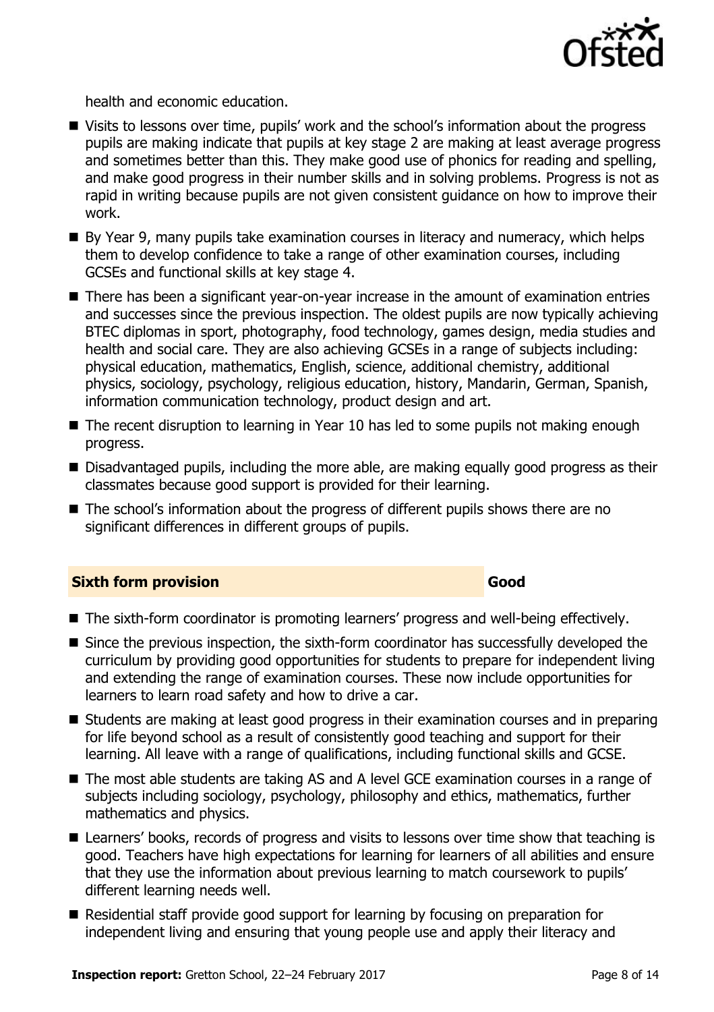

health and economic education.

- Visits to lessons over time, pupils' work and the school's information about the progress pupils are making indicate that pupils at key stage 2 are making at least average progress and sometimes better than this. They make good use of phonics for reading and spelling, and make good progress in their number skills and in solving problems. Progress is not as rapid in writing because pupils are not given consistent guidance on how to improve their work.
- By Year 9, many pupils take examination courses in literacy and numeracy, which helps them to develop confidence to take a range of other examination courses, including GCSEs and functional skills at key stage 4.
- There has been a significant year-on-year increase in the amount of examination entries and successes since the previous inspection. The oldest pupils are now typically achieving BTEC diplomas in sport, photography, food technology, games design, media studies and health and social care. They are also achieving GCSEs in a range of subjects including: physical education, mathematics, English, science, additional chemistry, additional physics, sociology, psychology, religious education, history, Mandarin, German, Spanish, information communication technology, product design and art.
- The recent disruption to learning in Year 10 has led to some pupils not making enough progress.
- Disadvantaged pupils, including the more able, are making equally good progress as their classmates because good support is provided for their learning.
- The school's information about the progress of different pupils shows there are no significant differences in different groups of pupils.

#### **Sixth form provision Good**

### ■ The sixth-form coordinator is promoting learners' progress and well-being effectively.

- Since the previous inspection, the sixth-form coordinator has successfully developed the curriculum by providing good opportunities for students to prepare for independent living and extending the range of examination courses. These now include opportunities for learners to learn road safety and how to drive a car.
- Students are making at least good progress in their examination courses and in preparing for life beyond school as a result of consistently good teaching and support for their learning. All leave with a range of qualifications, including functional skills and GCSE.
- The most able students are taking AS and A level GCE examination courses in a range of subjects including sociology, psychology, philosophy and ethics, mathematics, further mathematics and physics.
- Learners' books, records of progress and visits to lessons over time show that teaching is good. Teachers have high expectations for learning for learners of all abilities and ensure that they use the information about previous learning to match coursework to pupils' different learning needs well.
- Residential staff provide good support for learning by focusing on preparation for independent living and ensuring that young people use and apply their literacy and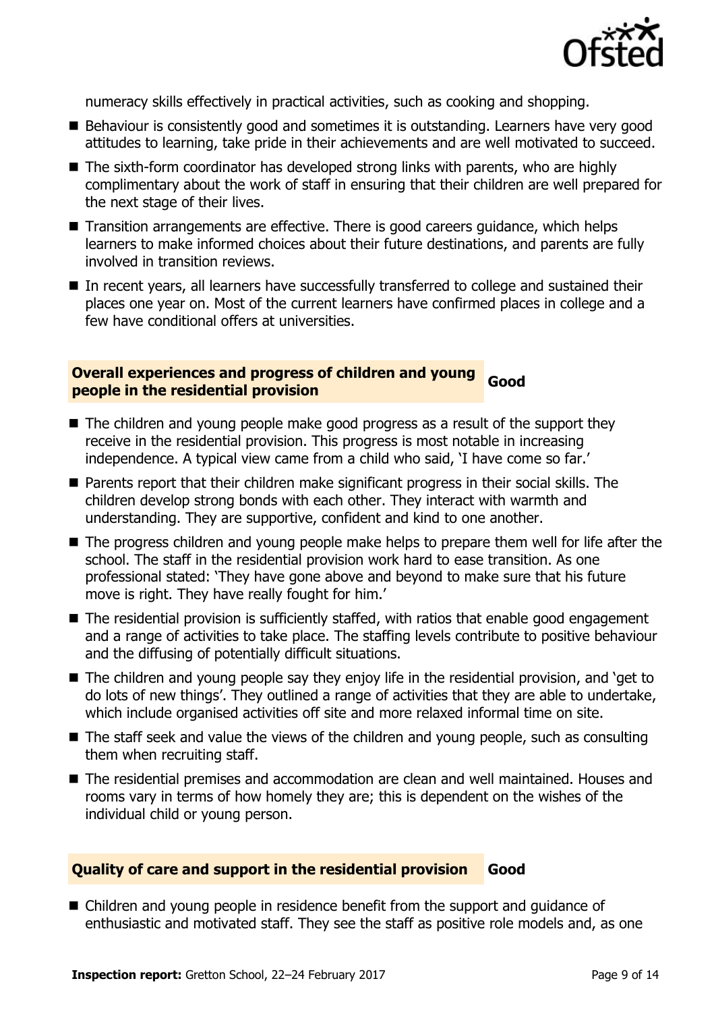

numeracy skills effectively in practical activities, such as cooking and shopping.

- Behaviour is consistently good and sometimes it is outstanding. Learners have very good attitudes to learning, take pride in their achievements and are well motivated to succeed.
- The sixth-form coordinator has developed strong links with parents, who are highly complimentary about the work of staff in ensuring that their children are well prepared for the next stage of their lives.
- Transition arrangements are effective. There is good careers guidance, which helps learners to make informed choices about their future destinations, and parents are fully involved in transition reviews.
- In recent years, all learners have successfully transferred to college and sustained their places one year on. Most of the current learners have confirmed places in college and a few have conditional offers at universities.

#### **Overall experiences and progress of children and young people in the residential provision Good**

- The children and young people make good progress as a result of the support they receive in the residential provision. This progress is most notable in increasing independence. A typical view came from a child who said, 'I have come so far.'
- Parents report that their children make significant progress in their social skills. The children develop strong bonds with each other. They interact with warmth and understanding. They are supportive, confident and kind to one another.
- The progress children and young people make helps to prepare them well for life after the school. The staff in the residential provision work hard to ease transition. As one professional stated: 'They have gone above and beyond to make sure that his future move is right. They have really fought for him.'
- The residential provision is sufficiently staffed, with ratios that enable good engagement and a range of activities to take place. The staffing levels contribute to positive behaviour and the diffusing of potentially difficult situations.
- The children and young people say they enjoy life in the residential provision, and 'get to do lots of new things'. They outlined a range of activities that they are able to undertake, which include organised activities off site and more relaxed informal time on site.
- $\blacksquare$  The staff seek and value the views of the children and young people, such as consulting them when recruiting staff.
- The residential premises and accommodation are clean and well maintained. Houses and rooms vary in terms of how homely they are; this is dependent on the wishes of the individual child or young person.

#### **Quality of care and support in the residential provision Good**

■ Children and young people in residence benefit from the support and guidance of enthusiastic and motivated staff. They see the staff as positive role models and, as one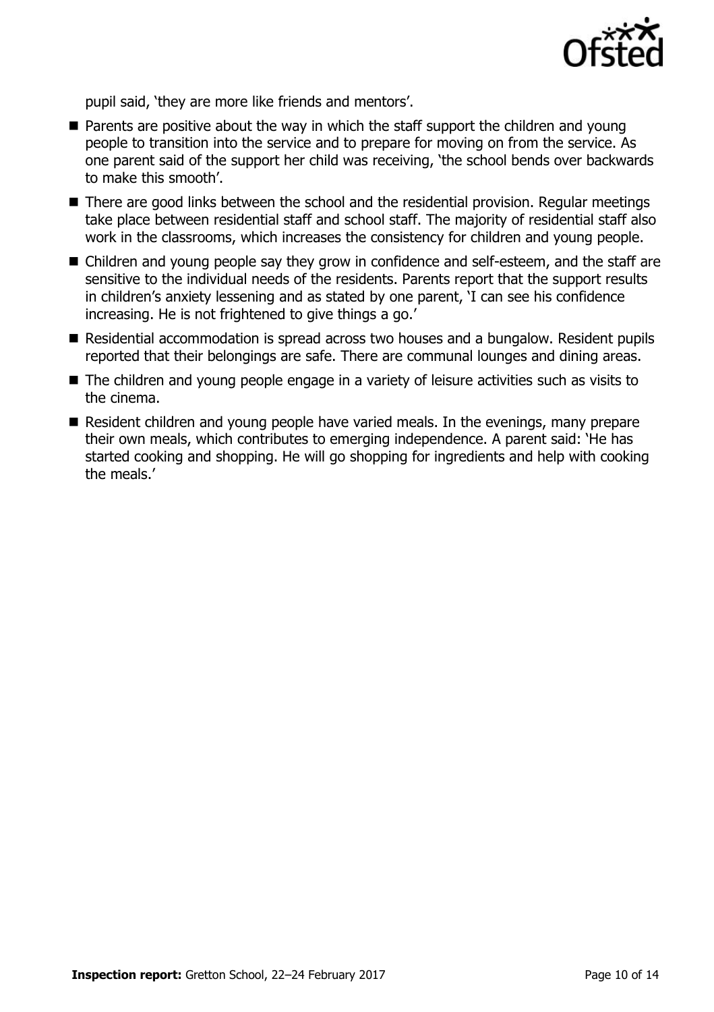

pupil said, 'they are more like friends and mentors'.

- Parents are positive about the way in which the staff support the children and young people to transition into the service and to prepare for moving on from the service. As one parent said of the support her child was receiving, 'the school bends over backwards to make this smooth'.
- There are good links between the school and the residential provision. Regular meetings take place between residential staff and school staff. The majority of residential staff also work in the classrooms, which increases the consistency for children and young people.
- Children and young people say they grow in confidence and self-esteem, and the staff are sensitive to the individual needs of the residents. Parents report that the support results in children's anxiety lessening and as stated by one parent, 'I can see his confidence increasing. He is not frightened to give things a go.'
- Residential accommodation is spread across two houses and a bungalow. Resident pupils reported that their belongings are safe. There are communal lounges and dining areas.
- The children and young people engage in a variety of leisure activities such as visits to the cinema.
- Resident children and young people have varied meals. In the evenings, many prepare their own meals, which contributes to emerging independence. A parent said: 'He has started cooking and shopping. He will go shopping for ingredients and help with cooking the meals.'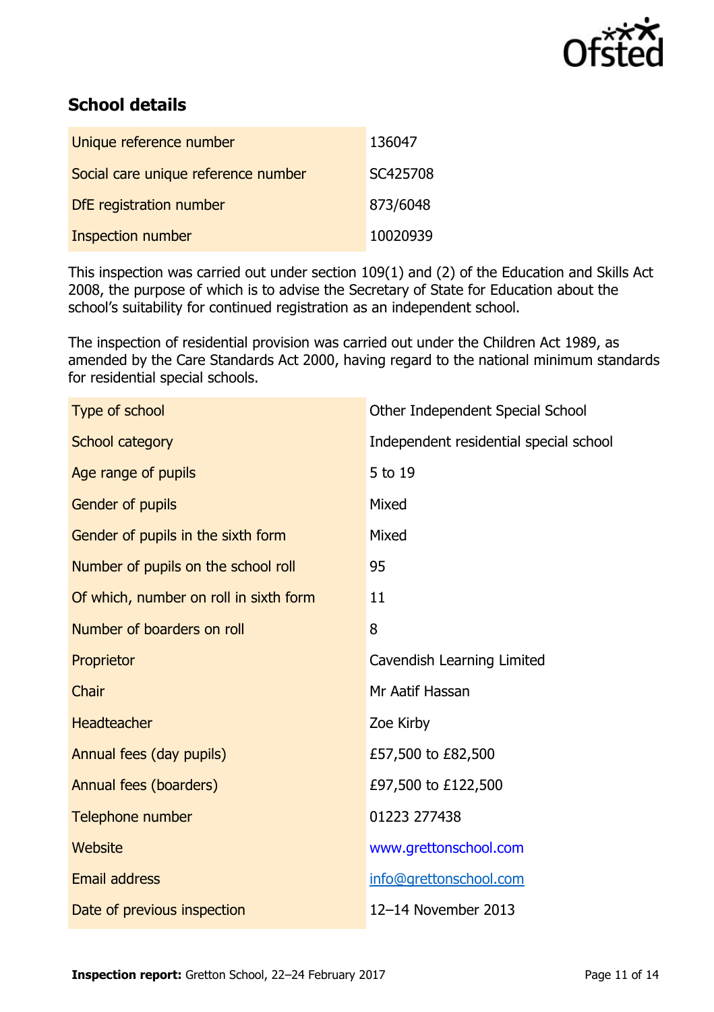

# **School details**

| Unique reference number             | 136047   |
|-------------------------------------|----------|
| Social care unique reference number | SC425708 |
| DfE registration number             | 873/6048 |
| Inspection number                   | 10020939 |

This inspection was carried out under section 109(1) and (2) of the Education and Skills Act 2008, the purpose of which is to advise the Secretary of State for Education about the school's suitability for continued registration as an independent school.

The inspection of residential provision was carried out under the Children Act 1989, as amended by the Care Standards Act 2000, having regard to the national minimum standards for residential special schools.

| Type of school                         | Other Independent Special School       |
|----------------------------------------|----------------------------------------|
| School category                        | Independent residential special school |
| Age range of pupils                    | 5 to 19                                |
| Gender of pupils                       | Mixed                                  |
| Gender of pupils in the sixth form     | Mixed                                  |
| Number of pupils on the school roll    | 95                                     |
| Of which, number on roll in sixth form | 11                                     |
| Number of boarders on roll             | 8                                      |
| Proprietor                             | Cavendish Learning Limited             |
| Chair                                  | Mr Aatif Hassan                        |
| <b>Headteacher</b>                     | Zoe Kirby                              |
| Annual fees (day pupils)               | £57,500 to £82,500                     |
| Annual fees (boarders)                 | £97,500 to £122,500                    |
| Telephone number                       | 01223 277438                           |
| Website                                | www.grettonschool.com                  |
| <b>Email address</b>                   | info@grettonschool.com                 |
| Date of previous inspection            | 12-14 November 2013                    |
|                                        |                                        |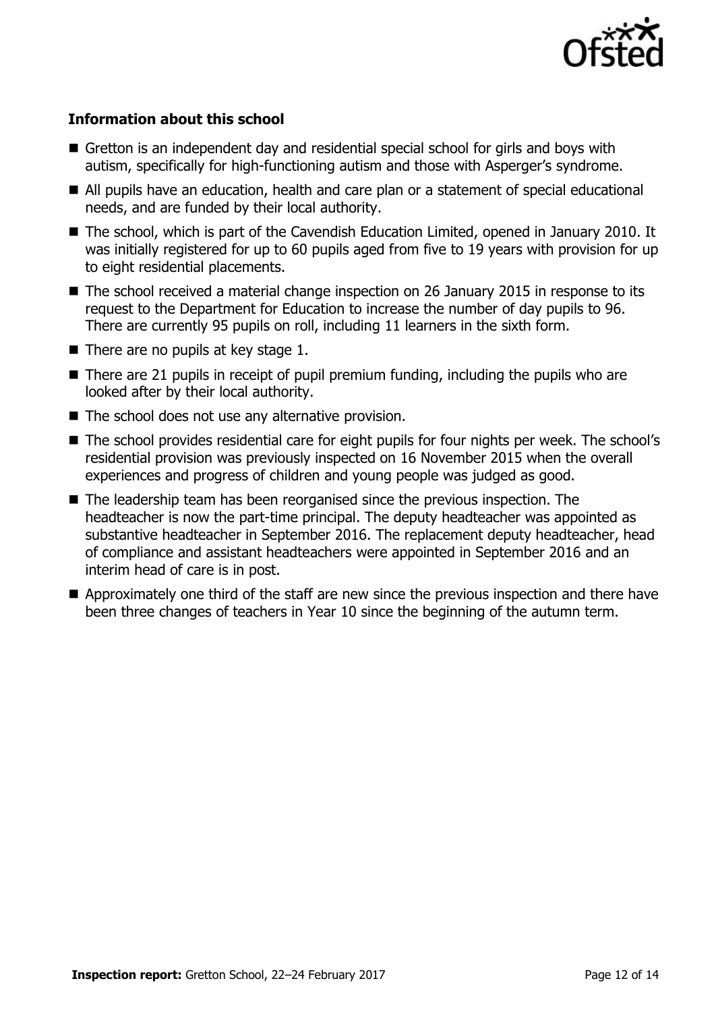

#### **Information about this school**

- Gretton is an independent day and residential special school for girls and boys with autism, specifically for high-functioning autism and those with Asperger's syndrome.
- All pupils have an education, health and care plan or a statement of special educational needs, and are funded by their local authority.
- The school, which is part of the Cavendish Education Limited, opened in January 2010. It was initially registered for up to 60 pupils aged from five to 19 years with provision for up to eight residential placements.
- The school received a material change inspection on 26 January 2015 in response to its request to the Department for Education to increase the number of day pupils to 96. There are currently 95 pupils on roll, including 11 learners in the sixth form.
- $\blacksquare$  There are no pupils at key stage 1.
- $\blacksquare$  There are 21 pupils in receipt of pupil premium funding, including the pupils who are looked after by their local authority.
- $\blacksquare$  The school does not use any alternative provision.
- The school provides residential care for eight pupils for four nights per week. The school's residential provision was previously inspected on 16 November 2015 when the overall experiences and progress of children and young people was judged as good.
- The leadership team has been reorganised since the previous inspection. The headteacher is now the part-time principal. The deputy headteacher was appointed as substantive headteacher in September 2016. The replacement deputy headteacher, head of compliance and assistant headteachers were appointed in September 2016 and an interim head of care is in post.
- Approximately one third of the staff are new since the previous inspection and there have been three changes of teachers in Year 10 since the beginning of the autumn term.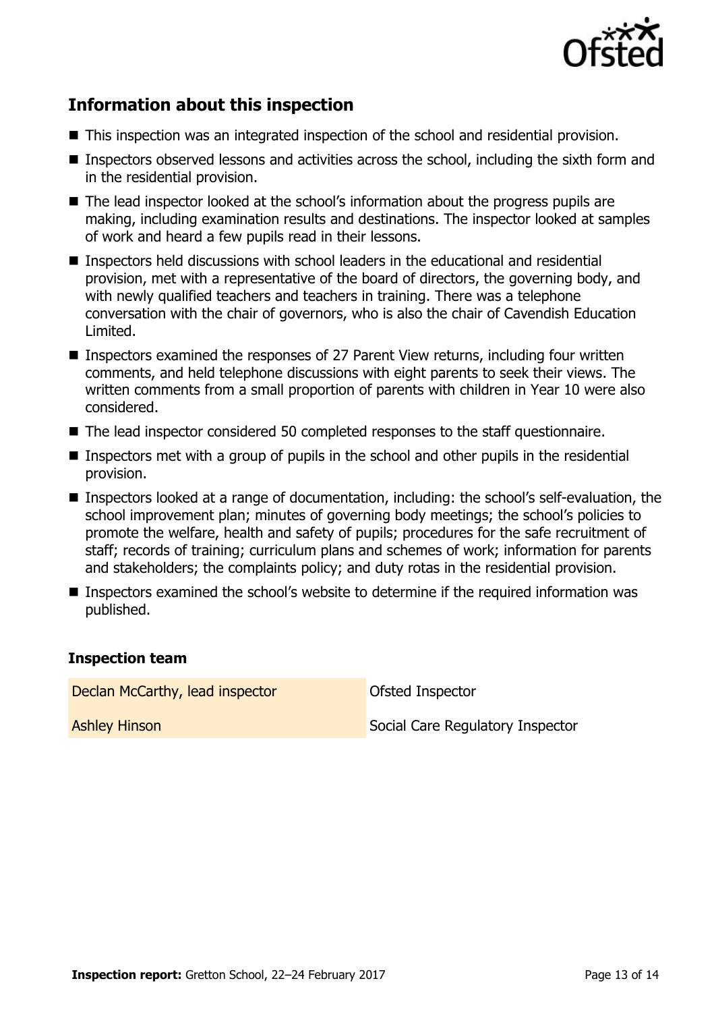

# **Information about this inspection**

- This inspection was an integrated inspection of the school and residential provision.
- Inspectors observed lessons and activities across the school, including the sixth form and in the residential provision.
- The lead inspector looked at the school's information about the progress pupils are making, including examination results and destinations. The inspector looked at samples of work and heard a few pupils read in their lessons.
- Inspectors held discussions with school leaders in the educational and residential provision, met with a representative of the board of directors, the governing body, and with newly qualified teachers and teachers in training. There was a telephone conversation with the chair of governors, who is also the chair of Cavendish Education Limited.
- Inspectors examined the responses of 27 Parent View returns, including four written comments, and held telephone discussions with eight parents to seek their views. The written comments from a small proportion of parents with children in Year 10 were also considered.
- The lead inspector considered 50 completed responses to the staff questionnaire.
- Inspectors met with a group of pupils in the school and other pupils in the residential provision.
- Inspectors looked at a range of documentation, including: the school's self-evaluation, the school improvement plan; minutes of governing body meetings; the school's policies to promote the welfare, health and safety of pupils; procedures for the safe recruitment of staff; records of training; curriculum plans and schemes of work; information for parents and stakeholders; the complaints policy; and duty rotas in the residential provision.
- Inspectors examined the school's website to determine if the required information was published.

#### **Inspection team**

Declan McCarthy, lead inspector

Ofsted Inspector

Ashley Hinson

Social Care Regulatory Inspector